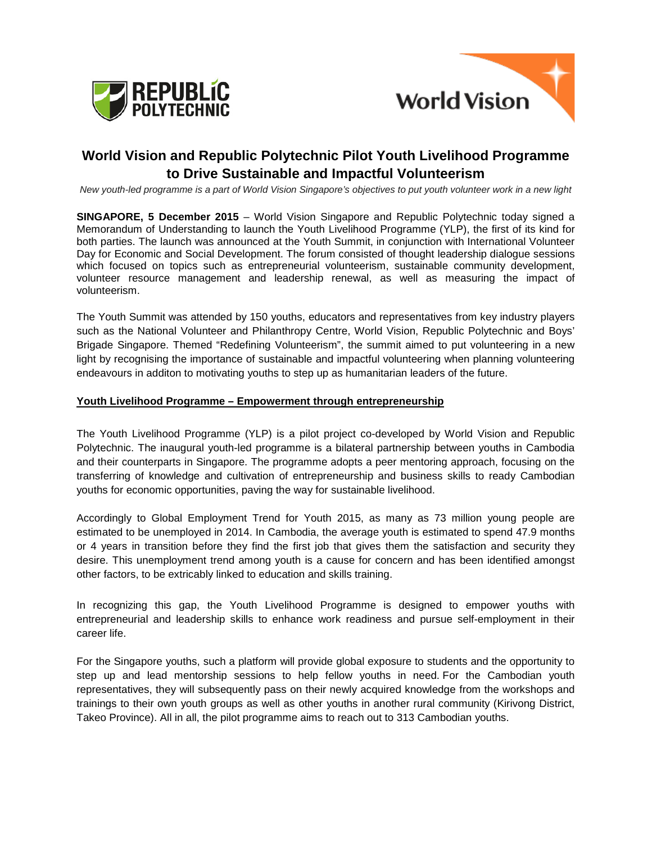



# **World Vision and Republic Polytechnic Pilot Youth Livelihood Programme to Drive Sustainable and Impactful Volunteerism**

*New youth-led programme is a part of World Vision Singapore's objectives to put youth volunteer work in a new light* 

**SINGAPORE, 5 December 2015** – World Vision Singapore and Republic Polytechnic today signed a Memorandum of Understanding to launch the Youth Livelihood Programme (YLP), the first of its kind for both parties. The launch was announced at the Youth Summit, in conjunction with International Volunteer Day for Economic and Social Development. The forum consisted of thought leadership dialogue sessions which focused on topics such as entrepreneurial volunteerism, sustainable community development, volunteer resource management and leadership renewal, as well as measuring the impact of volunteerism.

The Youth Summit was attended by 150 youths, educators and representatives from key industry players such as the National Volunteer and Philanthropy Centre, World Vision, Republic Polytechnic and Boys' Brigade Singapore. Themed "Redefining Volunteerism", the summit aimed to put volunteering in a new light by recognising the importance of sustainable and impactful volunteering when planning volunteering endeavours in additon to motivating youths to step up as humanitarian leaders of the future.

#### **Youth Livelihood Programme – Empowerment through entrepreneurship**

The Youth Livelihood Programme (YLP) is a pilot project co-developed by World Vision and Republic Polytechnic. The inaugural youth-led programme is a bilateral partnership between youths in Cambodia and their counterparts in Singapore. The programme adopts a peer mentoring approach, focusing on the transferring of knowledge and cultivation of entrepreneurship and business skills to ready Cambodian youths for economic opportunities, paving the way for sustainable livelihood.

Accordingly to Global Employment Trend for Youth 2015, as many as 73 million young people are estimated to be unemployed in 2014. In Cambodia, the average youth is estimated to spend 47.9 months or 4 years in transition before they find the first job that gives them the satisfaction and security they desire. This unemployment trend among youth is a cause for concern and has been identified amongst other factors, to be extricably linked to education and skills training.

In recognizing this gap, the Youth Livelihood Programme is designed to empower youths with entrepreneurial and leadership skills to enhance work readiness and pursue self-employment in their career life.

For the Singapore youths, such a platform will provide global exposure to students and the opportunity to step up and lead mentorship sessions to help fellow youths in need. For the Cambodian youth representatives, they will subsequently pass on their newly acquired knowledge from the workshops and trainings to their own youth groups as well as other youths in another rural community (Kirivong District, Takeo Province). All in all, the pilot programme aims to reach out to 313 Cambodian youths.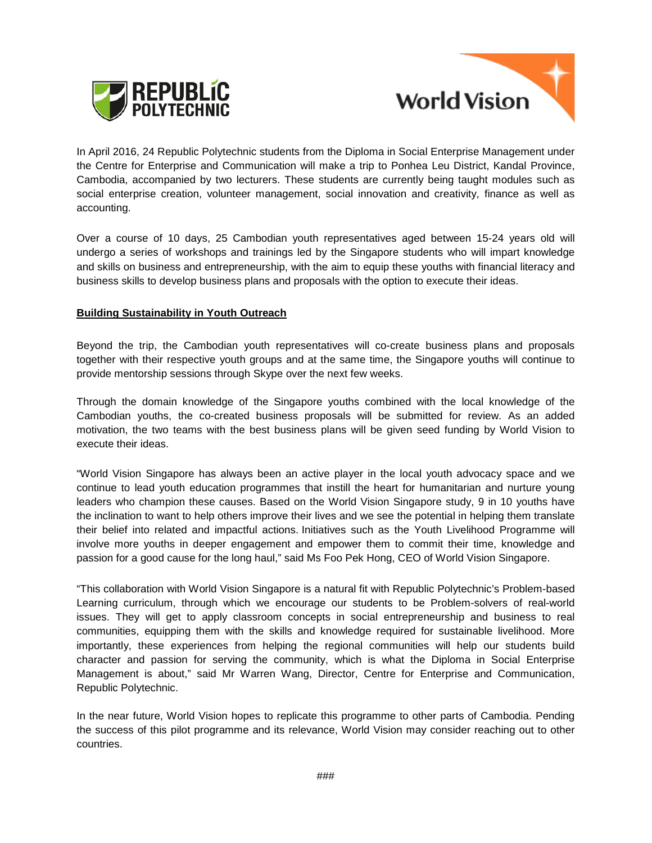



In April 2016, 24 Republic Polytechnic students from the Diploma in Social Enterprise Management under the Centre for Enterprise and Communication will make a trip to Ponhea Leu District, Kandal Province, Cambodia, accompanied by two lecturers. These students are currently being taught modules such as social enterprise creation, volunteer management, social innovation and creativity, finance as well as accounting.

Over a course of 10 days, 25 Cambodian youth representatives aged between 15-24 years old will undergo a series of workshops and trainings led by the Singapore students who will impart knowledge and skills on business and entrepreneurship, with the aim to equip these youths with financial literacy and business skills to develop business plans and proposals with the option to execute their ideas.

#### **Building Sustainability in Youth Outreach**

Beyond the trip, the Cambodian youth representatives will co-create business plans and proposals together with their respective youth groups and at the same time, the Singapore youths will continue to provide mentorship sessions through Skype over the next few weeks.

Through the domain knowledge of the Singapore youths combined with the local knowledge of the Cambodian youths, the co-created business proposals will be submitted for review. As an added motivation, the two teams with the best business plans will be given seed funding by World Vision to execute their ideas.

"World Vision Singapore has always been an active player in the local youth advocacy space and we continue to lead youth education programmes that instill the heart for humanitarian and nurture young leaders who champion these causes. Based on the World Vision Singapore study, 9 in 10 youths have the inclination to want to help others improve their lives and we see the potential in helping them translate their belief into related and impactful actions. Initiatives such as the Youth Livelihood Programme will involve more youths in deeper engagement and empower them to commit their time, knowledge and passion for a good cause for the long haul," said Ms Foo Pek Hong, CEO of World Vision Singapore.

"This collaboration with World Vision Singapore is a natural fit with Republic Polytechnic's Problem-based Learning curriculum, through which we encourage our students to be Problem-solvers of real-world issues. They will get to apply classroom concepts in social entrepreneurship and business to real communities, equipping them with the skills and knowledge required for sustainable livelihood. More importantly, these experiences from helping the regional communities will help our students build character and passion for serving the community, which is what the Diploma in Social Enterprise Management is about," said Mr Warren Wang, Director, Centre for Enterprise and Communication, Republic Polytechnic.

In the near future, World Vision hopes to replicate this programme to other parts of Cambodia. Pending the success of this pilot programme and its relevance, World Vision may consider reaching out to other countries.